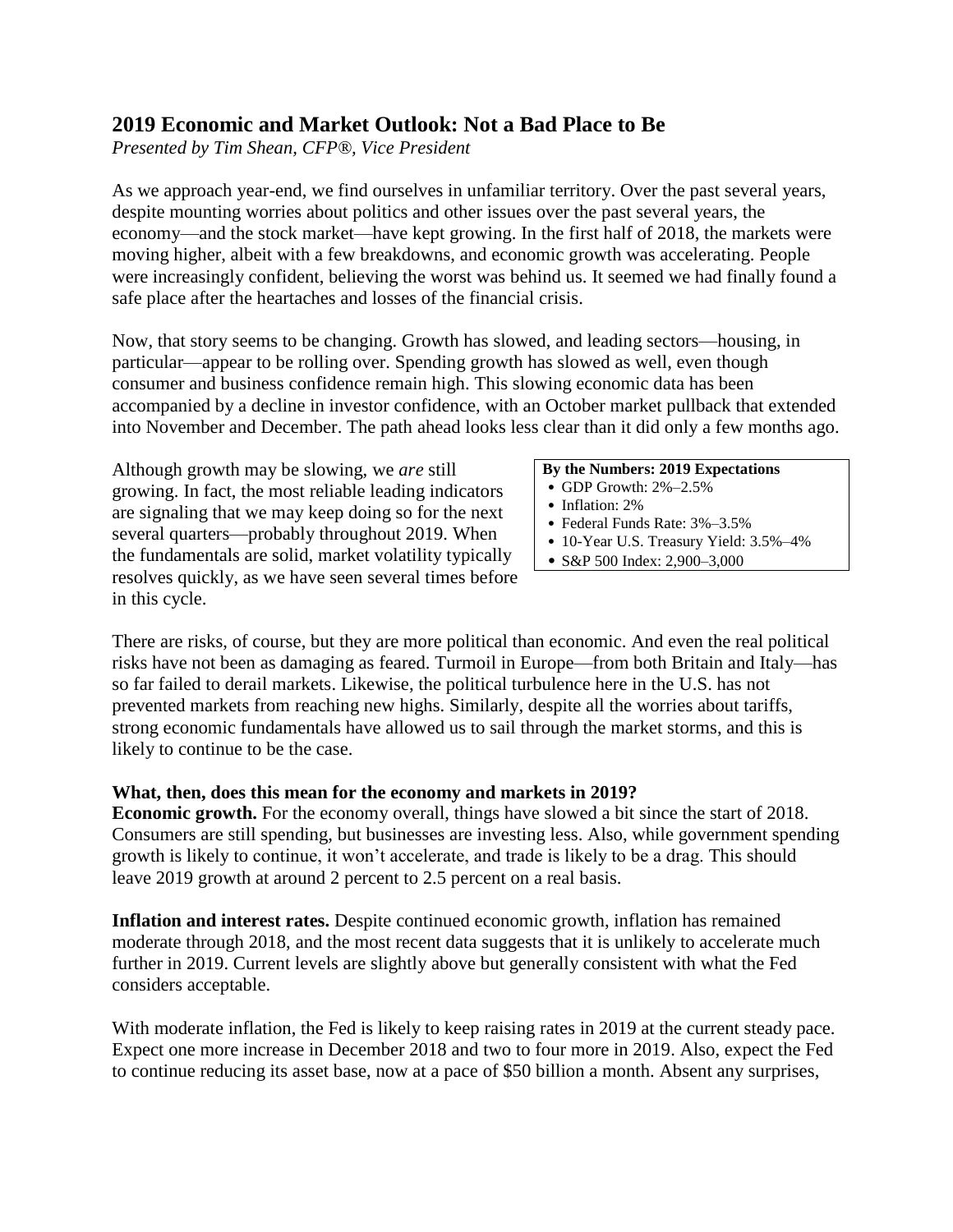# **2019 Economic and Market Outlook: Not a Bad Place to Be**

*Presented by Tim Shean, CFP®, Vice President*

As we approach year-end, we find ourselves in unfamiliar territory. Over the past several years, despite mounting worries about politics and other issues over the past several years, the economy—and the stock market—have kept growing. In the first half of 2018, the markets were moving higher, albeit with a few breakdowns, and economic growth was accelerating. People were increasingly confident, believing the worst was behind us. It seemed we had finally found a safe place after the heartaches and losses of the financial crisis.

Now, that story seems to be changing. Growth has slowed, and leading sectors—housing, in particular—appear to be rolling over. Spending growth has slowed as well, even though consumer and business confidence remain high. This slowing economic data has been accompanied by a decline in investor confidence, with an October market pullback that extended into November and December. The path ahead looks less clear than it did only a few months ago.

Although growth may be slowing, we *are* still growing. In fact, the most reliable leading indicators are signaling that we may keep doing so for the next several quarters—probably throughout 2019. When the fundamentals are solid, market volatility typically resolves quickly, as we have seen several times before in this cycle.

### **By the Numbers: 2019 Expectations**

- GDP Growth: 2%–2.5%
- Inflation: 2%
- Federal Funds Rate: 3%–3.5%
- 10-Year U.S. Treasury Yield: 3.5%–4%
- S&P 500 Index: 2,900–3,000

There are risks, of course, but they are more political than economic. And even the real political risks have not been as damaging as feared. Turmoil in Europe—from both Britain and Italy—has so far failed to derail markets. Likewise, the political turbulence here in the U.S. has not prevented markets from reaching new highs. Similarly, despite all the worries about tariffs, strong economic fundamentals have allowed us to sail through the market storms, and this is likely to continue to be the case.

## **What, then, does this mean for the economy and markets in 2019?**

**Economic growth.** For the economy overall, things have slowed a bit since the start of 2018. Consumers are still spending, but businesses are investing less. Also, while government spending growth is likely to continue, it won't accelerate, and trade is likely to be a drag. This should leave 2019 growth at around 2 percent to 2.5 percent on a real basis.

**Inflation and interest rates.** Despite continued economic growth, inflation has remained moderate through 2018, and the most recent data suggests that it is unlikely to accelerate much further in 2019. Current levels are slightly above but generally consistent with what the Fed considers acceptable.

With moderate inflation, the Fed is likely to keep raising rates in 2019 at the current steady pace. Expect one more increase in December 2018 and two to four more in 2019. Also, expect the Fed to continue reducing its asset base, now at a pace of \$50 billion a month. Absent any surprises,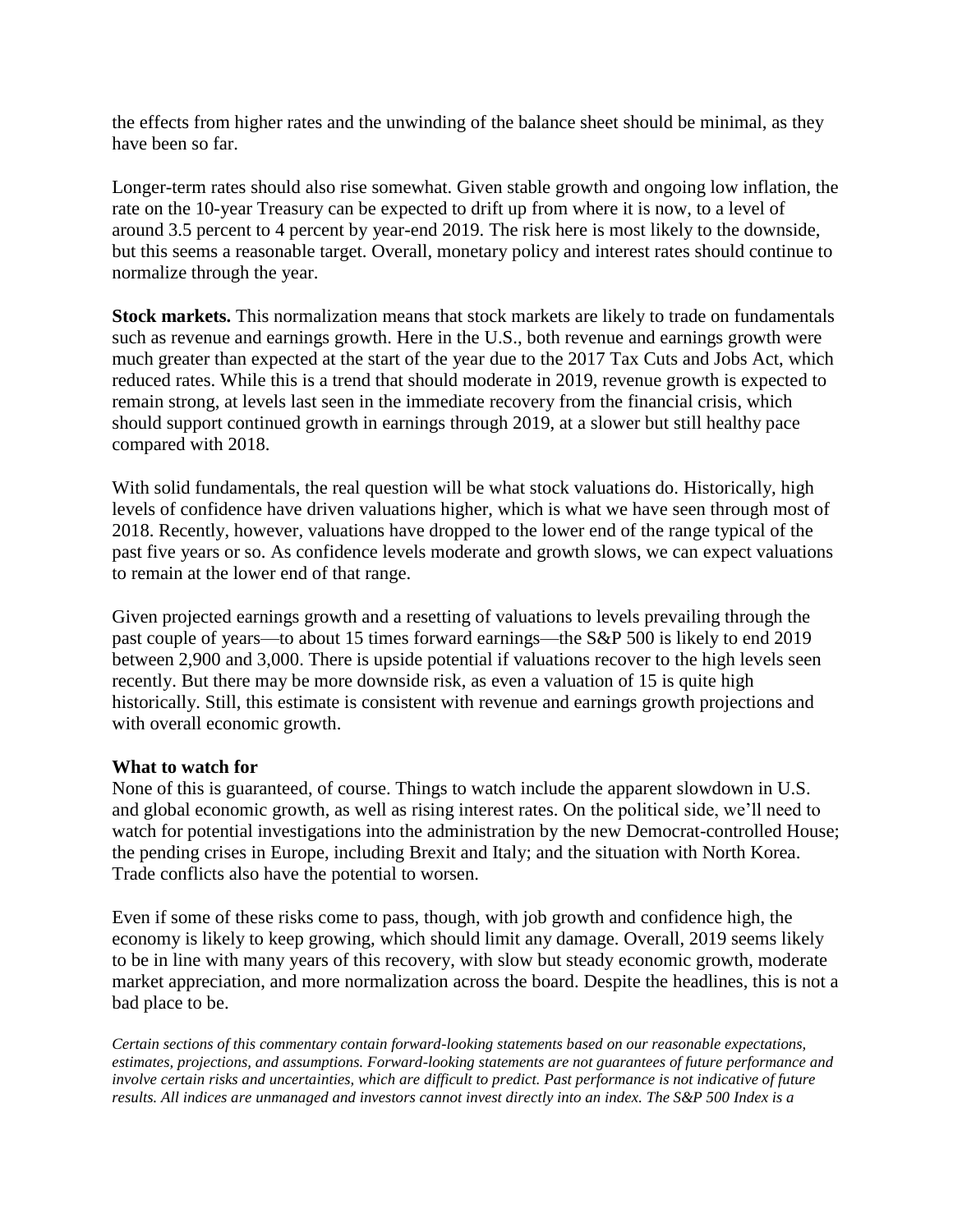the effects from higher rates and the unwinding of the balance sheet should be minimal, as they have been so far.

Longer-term rates should also rise somewhat. Given stable growth and ongoing low inflation, the rate on the 10-year Treasury can be expected to drift up from where it is now, to a level of around 3.5 percent to 4 percent by year-end 2019. The risk here is most likely to the downside, but this seems a reasonable target. Overall, monetary policy and interest rates should continue to normalize through the year.

**Stock markets.** This normalization means that stock markets are likely to trade on fundamentals such as revenue and earnings growth. Here in the U.S., both revenue and earnings growth were much greater than expected at the start of the year due to the 2017 Tax Cuts and Jobs Act, which reduced rates. While this is a trend that should moderate in 2019, revenue growth is expected to remain strong, at levels last seen in the immediate recovery from the financial crisis, which should support continued growth in earnings through 2019, at a slower but still healthy pace compared with 2018.

With solid fundamentals, the real question will be what stock valuations do. Historically, high levels of confidence have driven valuations higher, which is what we have seen through most of 2018. Recently, however, valuations have dropped to the lower end of the range typical of the past five years or so. As confidence levels moderate and growth slows, we can expect valuations to remain at the lower end of that range.

Given projected earnings growth and a resetting of valuations to levels prevailing through the past couple of years—to about 15 times forward earnings—the S&P 500 is likely to end 2019 between 2,900 and 3,000. There is upside potential if valuations recover to the high levels seen recently. But there may be more downside risk, as even a valuation of 15 is quite high historically. Still, this estimate is consistent with revenue and earnings growth projections and with overall economic growth.

## **What to watch for**

None of this is guaranteed, of course. Things to watch include the apparent slowdown in U.S. and global economic growth, as well as rising interest rates. On the political side, we'll need to watch for potential investigations into the administration by the new Democrat-controlled House; the pending crises in Europe, including Brexit and Italy; and the situation with North Korea. Trade conflicts also have the potential to worsen.

Even if some of these risks come to pass, though, with job growth and confidence high, the economy is likely to keep growing, which should limit any damage. Overall, 2019 seems likely to be in line with many years of this recovery, with slow but steady economic growth, moderate market appreciation, and more normalization across the board. Despite the headlines, this is not a bad place to be.

*Certain sections of this commentary contain forward-looking statements based on our reasonable expectations, estimates, projections, and assumptions. Forward-looking statements are not guarantees of future performance and involve certain risks and uncertainties, which are difficult to predict. Past performance is not indicative of future results. All indices are unmanaged and investors cannot invest directly into an index. The S&P 500 Index is a*